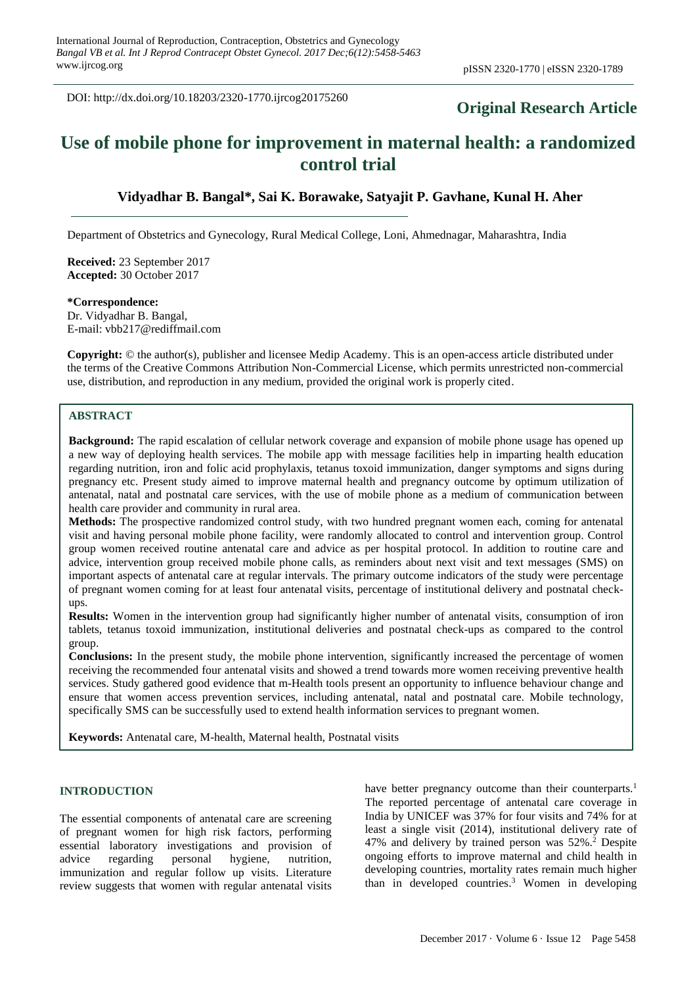DOI: http://dx.doi.org/10.18203/2320-1770.ijrcog20175260

# **Original Research Article**

# **Use of mobile phone for improvement in maternal health: a randomized control trial**

## **Vidyadhar B. Bangal\*, Sai K. Borawake, Satyajit P. Gavhane, Kunal H. Aher**

Department of Obstetrics and Gynecology, Rural Medical College, Loni, Ahmednagar, Maharashtra, India

**Received:** 23 September 2017 **Accepted:** 30 October 2017

**\*Correspondence:** Dr. Vidyadhar B. Bangal, E-mail: vbb217@rediffmail.com

**Copyright:** © the author(s), publisher and licensee Medip Academy. This is an open-access article distributed under the terms of the Creative Commons Attribution Non-Commercial License, which permits unrestricted non-commercial use, distribution, and reproduction in any medium, provided the original work is properly cited.

### **ABSTRACT**

**Background:** The rapid escalation of cellular network coverage and expansion of mobile phone usage has opened up a new way of deploying health services. The mobile app with message facilities help in imparting health education regarding nutrition, iron and folic acid prophylaxis, tetanus toxoid immunization, danger symptoms and signs during pregnancy etc. Present study aimed to improve maternal health and pregnancy outcome by optimum utilization of antenatal, natal and postnatal care services, with the use of mobile phone as a medium of communication between health care provider and community in rural area.

**Methods:** The prospective randomized control study, with two hundred pregnant women each, coming for antenatal visit and having personal mobile phone facility, were randomly allocated to control and intervention group. Control group women received routine antenatal care and advice as per hospital protocol. In addition to routine care and advice, intervention group received mobile phone calls, as reminders about next visit and text messages (SMS) on important aspects of antenatal care at regular intervals. The primary outcome indicators of the study were percentage of pregnant women coming for at least four antenatal visits, percentage of institutional delivery and postnatal checkups.

**Results:** Women in the intervention group had significantly higher number of antenatal visits, consumption of iron tablets, tetanus toxoid immunization, institutional deliveries and postnatal check-ups as compared to the control group.

**Conclusions:** In the present study, the mobile phone intervention, significantly increased the percentage of women receiving the recommended four antenatal visits and showed a trend towards more women receiving preventive health services. Study gathered good evidence that m-Health tools present an opportunity to influence behaviour change and ensure that women access prevention services, including antenatal, natal and postnatal care. Mobile technology, specifically SMS can be successfully used to extend health information services to pregnant women.

**Keywords:** Antenatal care, M-health, Maternal health, Postnatal visits

#### **INTRODUCTION**

The essential components of antenatal care are screening of pregnant women for high risk factors, performing essential laboratory investigations and provision of advice regarding personal hygiene, nutrition, immunization and regular follow up visits. Literature review suggests that women with regular antenatal visits have better pregnancy outcome than their counterparts.<sup>1</sup> The reported percentage of antenatal care coverage in India by UNICEF was 37% for four visits and 74% for at least a single visit (2014), institutional delivery rate of 47% and delivery by trained person was  $52\%$ .<sup>2</sup> Despite ongoing efforts to improve maternal and child health in developing countries, mortality rates remain much higher than in developed countries. <sup>3</sup> Women in developing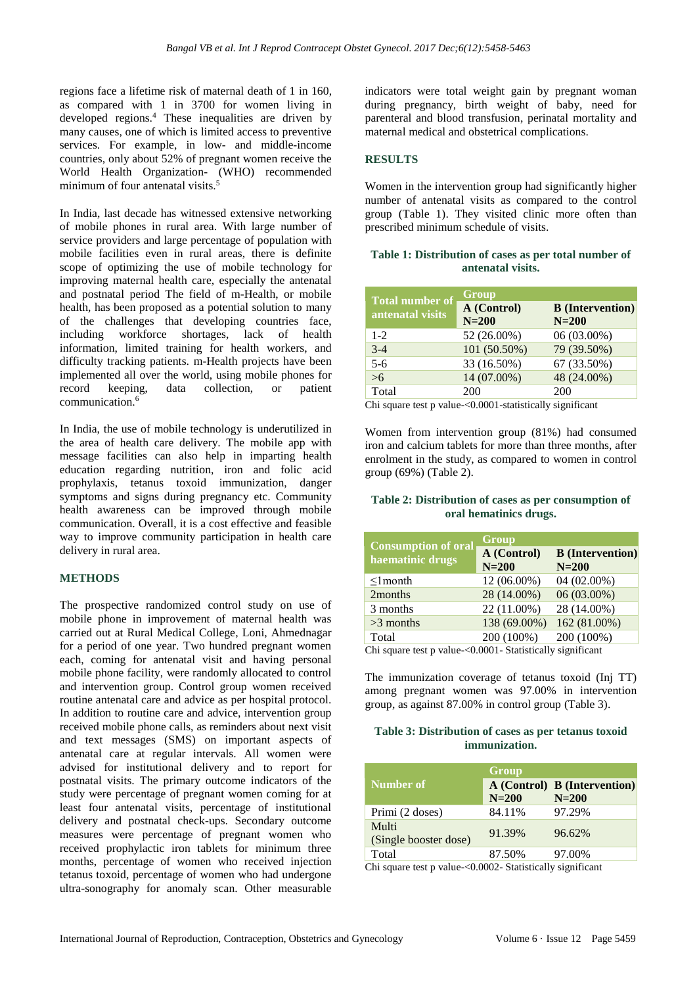regions face a lifetime risk of maternal death of 1 in 160, as compared with 1 in 3700 for women living in developed regions. <sup>4</sup> These inequalities are driven by many causes, one of which is limited access to preventive services. For example, in low- and middle-income countries, only about 52% of pregnant women receive the World Health Organization- (WHO) recommended minimum of four antenatal visits. 5

In India, last decade has witnessed extensive networking of mobile phones in rural area. With large number of service providers and large percentage of population with mobile facilities even in rural areas, there is definite scope of optimizing the use of mobile technology for improving maternal health care, especially the antenatal and postnatal period The field of m-Health, or mobile health, has been proposed as a potential solution to many of the challenges that developing countries face, including workforce shortages, lack of health information, limited training for health workers, and difficulty tracking patients. m-Health projects have been implemented all over the world, using mobile phones for record keeping, data collection, or patient communication. 6

In India, the use of mobile technology is underutilized in the area of health care delivery. The mobile app with message facilities can also help in imparting health education regarding nutrition, iron and folic acid prophylaxis, tetanus toxoid immunization, danger symptoms and signs during pregnancy etc. Community health awareness can be improved through mobile communication. Overall, it is a cost effective and feasible way to improve community participation in health care delivery in rural area.

#### **METHODS**

The prospective randomized control study on use of mobile phone in improvement of maternal health was carried out at Rural Medical College, Loni, Ahmednagar for a period of one year. Two hundred pregnant women each, coming for antenatal visit and having personal mobile phone facility, were randomly allocated to control and intervention group. Control group women received routine antenatal care and advice as per hospital protocol. In addition to routine care and advice, intervention group received mobile phone calls, as reminders about next visit and text messages (SMS) on important aspects of antenatal care at regular intervals. All women were advised for institutional delivery and to report for postnatal visits. The primary outcome indicators of the study were percentage of pregnant women coming for at least four antenatal visits, percentage of institutional delivery and postnatal check-ups. Secondary outcome measures were percentage of pregnant women who received prophylactic iron tablets for minimum three months, percentage of women who received injection tetanus toxoid, percentage of women who had undergone ultra-sonography for anomaly scan. Other measurable

indicators were total weight gain by pregnant woman during pregnancy, birth weight of baby, need for parenteral and blood transfusion, perinatal mortality and maternal medical and obstetrical complications.

#### **RESULTS**

Women in the intervention group had significantly higher number of antenatal visits as compared to the control group (Table 1). They visited clinic more often than prescribed minimum schedule of visits.

#### **Table 1: Distribution of cases as per total number of antenatal visits.**

| <b>Total number of</b> | Group        |                         |
|------------------------|--------------|-------------------------|
| antenatal visits       | A (Control)  | <b>B</b> (Intervention) |
|                        | $N=200$      | $N=200$                 |
| $1 - 2$                | 52 (26.00%)  | 06 (03.00%)             |
| $3-4$                  | 101 (50.50%) | 79 (39.50%)             |
| $5-6$                  | 33 (16.50%)  | 67 (33.50%)             |
| $>6$                   | 14 (07.00%)  | 48 (24.00%)             |
| Total                  | 200          | 200                     |
| ---                    |              |                         |

Chi square test p value-<0.0001-statistically significant

Women from intervention group (81%) had consumed iron and calcium tablets for more than three months, after enrolment in the study, as compared to women in control group (69%) (Table 2).

#### **Table 2: Distribution of cases as per consumption of oral hematinics drugs.**

| <b>Consumption of oral</b> | Group                        |                                    |
|----------------------------|------------------------------|------------------------------------|
| haematinic drugs           | A (Control)<br>$N=200$       | <b>B</b> (Intervention)<br>$N=200$ |
| $\leq$ 1 month             | 12 (06.00%)                  | 04 (02.00%)                        |
| 2months                    | 28 (14.00%)                  | 06 (03.00%)                        |
| 3 months                   | 22 (11.00%)                  | 28 (14.00%)                        |
| $>3$ months                | 138 (69.00%)                 | 162 (81.00%)                       |
| Total                      | 200 (100%)                   | 200 (100%)                         |
| $\sim$ $\sim$<br>п.        | $0.0001$ $0.11$<br><b>TT</b> |                                    |

Chi square test p value-<0.0001- Statistically significant

The immunization coverage of tetanus toxoid (Inj TT) among pregnant women was 97.00% in intervention group, as against 87.00% in control group (Table 3).

#### **Table 3: Distribution of cases as per tetanus toxoid immunization.**

| Number of                      | Group             | A (Control) B (Intervention) |
|--------------------------------|-------------------|------------------------------|
| Primi (2 doses)                | $N=200$<br>84.11% | $N=200$<br>97.29%            |
| Multi<br>(Single booster dose) | 91.39%            | 96.62%                       |
| Total                          | 87.50%            | 97.00%                       |

Chi square test p value-<0.0002- Statistically significant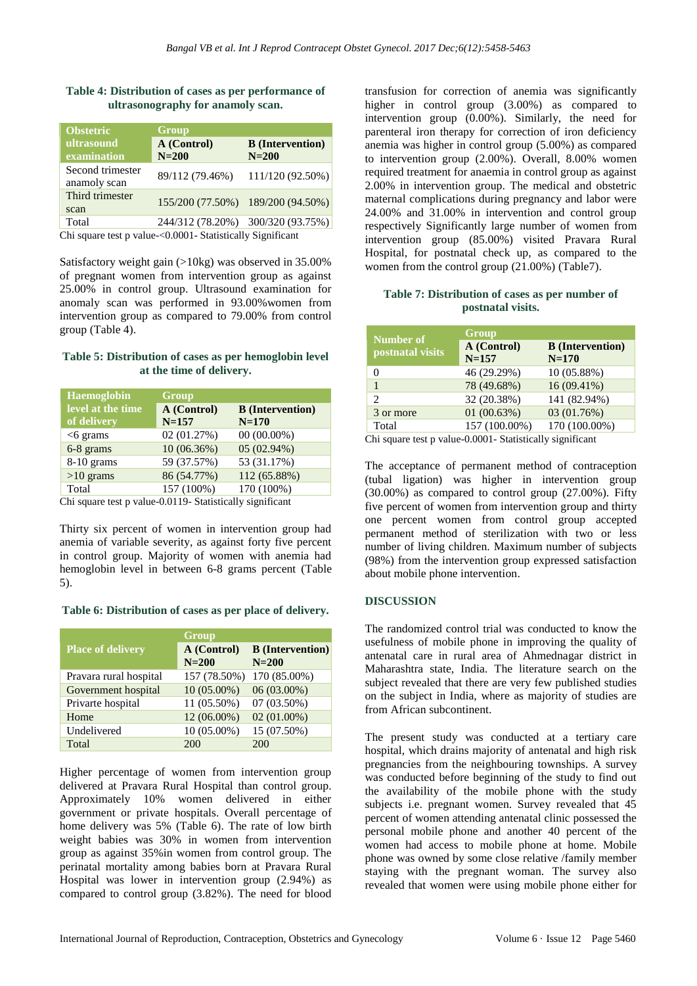#### **Table 4: Distribution of cases as per performance of ultrasonography for anamoly scan.**

| <b>Obstetric</b>                 | Group                  |                                    |  |
|----------------------------------|------------------------|------------------------------------|--|
| ultrasound<br>examination        | A (Control)<br>$N=200$ | <b>B</b> (Intervention)<br>$N=200$ |  |
| Second trimester<br>anamoly scan | 89/112 (79.46%)        | 111/120 (92.50%)                   |  |
| Third trimester<br>scan          |                        | 155/200 (77.50%) 189/200 (94.50%)  |  |
| Total                            | 244/312 (78.20%)       | 300/320 (93.75%)                   |  |

Chi square test p value-<0.0001- Statistically Significant

Satisfactory weight gain (>10kg) was observed in 35.00% of pregnant women from intervention group as against 25.00% in control group. Ultrasound examination for anomaly scan was performed in 93.00%women from intervention group as compared to 79.00% from control group (Table 4).

#### **Table 5: Distribution of cases as per hemoglobin level at the time of delivery.**

| <b>Haemoglobin</b>            | Group       |                         |
|-------------------------------|-------------|-------------------------|
| level at the time             | A (Control) | <b>B</b> (Intervention) |
| of delivery                   | $N = 157$   | $N = 170$               |
| $<$ 6 grams                   | 02 (01.27%) | $00(00.00\%)$           |
| 6-8 grams                     | 10(06.36%)  | $05(02.94\%)$           |
| $8-10$ grams                  | 59 (37.57%) | 53 (31.17%)             |
| $>10$ grams                   | 86 (54.77%) | 112 (65.88%)            |
| Total                         | 157 (100%)  | 170 (100%)              |
| $\sim$ $\sim$<br>$\mathbf{r}$ | 0.0110.011  | . .                     |

Chi square test p value-0.0119- Statistically significant

Thirty six percent of women in intervention group had anemia of variable severity, as against forty five percent in control group. Majority of women with anemia had hemoglobin level in between 6-8 grams percent (Table 5).

#### **Table 6: Distribution of cases as per place of delivery.**

|                          | Group                  |                                      |
|--------------------------|------------------------|--------------------------------------|
| <b>Place of delivery</b> | A (Control)<br>$N=200$ | <b>B</b> (Intervention)<br>$N = 200$ |
| Pravara rural hospital   | 157 (78.50%)           | 170 (85.00%)                         |
| Government hospital      | 10 (05.00%)            | 06 (03.00%)                          |
| Privarte hospital        | 11 (05.50%)            | 07 (03.50%)                          |
| Home                     | 12 (06.00%)            | 02 (01.00%)                          |
| Undelivered              | 10 (05.00%)            | 15 (07.50%)                          |
| Total                    | 200                    | 200                                  |

Higher percentage of women from intervention group delivered at Pravara Rural Hospital than control group. Approximately 10% women delivered in either government or private hospitals. Overall percentage of home delivery was 5% (Table 6). The rate of low birth weight babies was 30% in women from intervention group as against 35%in women from control group. The perinatal mortality among babies born at Pravara Rural Hospital was lower in intervention group (2.94%) as compared to control group (3.82%). The need for blood transfusion for correction of anemia was significantly higher in control group (3.00%) as compared to intervention group (0.00%). Similarly, the need for parenteral iron therapy for correction of iron deficiency anemia was higher in control group (5.00%) as compared to intervention group (2.00%). Overall, 8.00% women required treatment for anaemia in control group as against 2.00% in intervention group. The medical and obstetric maternal complications during pregnancy and labor were 24.00% and 31.00% in intervention and control group respectively Significantly large number of women from intervention group (85.00%) visited Pravara Rural Hospital, for postnatal check up, as compared to the women from the control group (21.00%) (Table7).

#### **Table 7: Distribution of cases as per number of postnatal visits.**

| <b>Number of</b> | Group                    |                                    |
|------------------|--------------------------|------------------------------------|
| postnatal visits | A (Control)<br>$N = 157$ | <b>B</b> (Intervention)<br>$N=170$ |
| 0                | 46 (29.29%)              | $10(05.88\%)$                      |
|                  | 78 (49.68%)              | $16(09.41\%)$                      |
| $\overline{c}$   | 32 (20.38%)              | 141 (82.94%)                       |
| 3 or more        | 01(00.63%)               | 03 (01.76%)                        |
| Total            | 157 (100.00%)            | 170 (100.00%)                      |

Chi square test p value-0.0001- Statistically significant

The acceptance of permanent method of contraception (tubal ligation) was higher in intervention group (30.00%) as compared to control group (27.00%). Fifty five percent of women from intervention group and thirty one percent women from control group accepted permanent method of sterilization with two or less number of living children. Maximum number of subjects (98%) from the intervention group expressed satisfaction about mobile phone intervention.

#### **DISCUSSION**

The randomized control trial was conducted to know the usefulness of mobile phone in improving the quality of antenatal care in rural area of Ahmednagar district in Maharashtra state, India. The literature search on the subject revealed that there are very few published studies on the subject in India, where as majority of studies are from African subcontinent.

The present study was conducted at a tertiary care hospital, which drains majority of antenatal and high risk pregnancies from the neighbouring townships. A survey was conducted before beginning of the study to find out the availability of the mobile phone with the study subjects i.e. pregnant women. Survey revealed that 45 percent of women attending antenatal clinic possessed the personal mobile phone and another 40 percent of the women had access to mobile phone at home. Mobile phone was owned by some close relative /family member staying with the pregnant woman. The survey also revealed that women were using mobile phone either for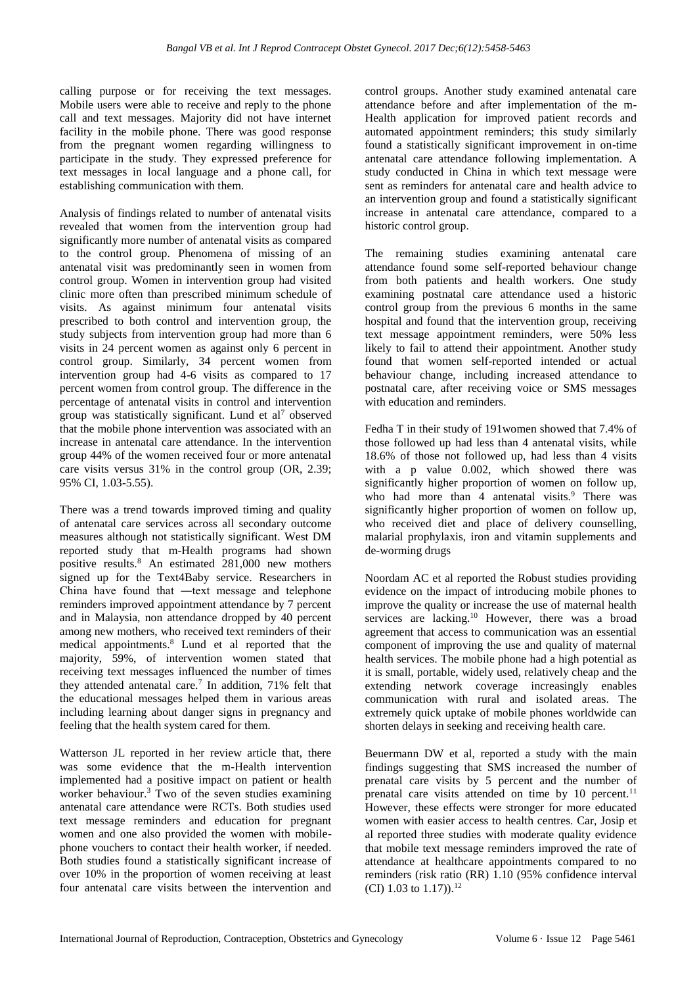calling purpose or for receiving the text messages. Mobile users were able to receive and reply to the phone call and text messages. Majority did not have internet facility in the mobile phone. There was good response from the pregnant women regarding willingness to participate in the study. They expressed preference for text messages in local language and a phone call, for establishing communication with them.

Analysis of findings related to number of antenatal visits revealed that women from the intervention group had significantly more number of antenatal visits as compared to the control group. Phenomena of missing of an antenatal visit was predominantly seen in women from control group. Women in intervention group had visited clinic more often than prescribed minimum schedule of visits. As against minimum four antenatal visits prescribed to both control and intervention group, the study subjects from intervention group had more than 6 visits in 24 percent women as against only 6 percent in control group. Similarly, 34 percent women from intervention group had 4-6 visits as compared to 17 percent women from control group. The difference in the percentage of antenatal visits in control and intervention group was statistically significant. Lund et  $al^7$  observed that the mobile phone intervention was associated with an increase in antenatal care attendance. In the intervention group 44% of the women received four or more antenatal care visits versus 31% in the control group (OR, 2.39; 95% CI, 1.03-5.55).

There was a trend towards improved timing and quality of antenatal care services across all secondary outcome measures although not statistically significant. West DM reported study that m-Health programs had shown positive results.<sup>8</sup> An estimated 281,000 new mothers signed up for the Text4Baby service. Researchers in China have found that —text message and telephone reminders improved appointment attendance by 7 percent and in Malaysia, non attendance dropped by 40 percent among new mothers, who received text reminders of their medical appointments.<sup>8</sup> Lund et al reported that the majority, 59%, of intervention women stated that receiving text messages influenced the number of times they attended antenatal care.<sup>7</sup> In addition, 71% felt that the educational messages helped them in various areas including learning about danger signs in pregnancy and feeling that the health system cared for them.

Watterson JL reported in her review article that, there was some evidence that the m-Health intervention implemented had a positive impact on patient or health worker behaviour.<sup>3</sup> Two of the seven studies examining antenatal care attendance were RCTs. Both studies used text message reminders and education for pregnant women and one also provided the women with mobilephone vouchers to contact their health worker, if needed. Both studies found a statistically significant increase of over 10% in the proportion of women receiving at least four antenatal care visits between the intervention and control groups. Another study examined antenatal care attendance before and after implementation of the m-Health application for improved patient records and automated appointment reminders; this study similarly found a statistically significant improvement in on-time antenatal care attendance following implementation. A study conducted in China in which text message were sent as reminders for antenatal care and health advice to an intervention group and found a statistically significant increase in antenatal care attendance, compared to a historic control group.

The remaining studies examining antenatal care attendance found some self-reported behaviour change from both patients and health workers. One study examining postnatal care attendance used a historic control group from the previous 6 months in the same hospital and found that the intervention group, receiving text message appointment reminders, were 50% less likely to fail to attend their appointment. Another study found that women self-reported intended or actual behaviour change, including increased attendance to postnatal care, after receiving voice or SMS messages with education and reminders.

Fedha T in their study of 191women showed that 7.4% of those followed up had less than 4 antenatal visits, while 18.6% of those not followed up, had less than 4 visits with a p value 0.002, which showed there was significantly higher proportion of women on follow up, who had more than 4 antenatal visits. $9$  There was significantly higher proportion of women on follow up, who received diet and place of delivery counselling, malarial prophylaxis, iron and vitamin supplements and de-worming drugs

Noordam AC et al reported the Robust studies providing evidence on the impact of introducing mobile phones to improve the quality or increase the use of maternal health services are lacking.<sup>10</sup> However, there was a broad agreement that access to communication was an essential component of improving the use and quality of maternal health services. The mobile phone had a high potential as it is small, portable, widely used, relatively cheap and the extending network coverage increasingly enables communication with rural and isolated areas. The extremely quick uptake of mobile phones worldwide can shorten delays in seeking and receiving health care.

Beuermann DW et al, reported a study with the main findings suggesting that SMS increased the number of prenatal care visits by 5 percent and the number of prenatal care visits attended on time by 10 percent.<sup>11</sup> However, these effects were stronger for more educated women with easier access to health centres. Car, Josip et al reported three studies with moderate quality evidence that mobile text message reminders improved the rate of attendance at healthcare appointments compared to no reminders (risk ratio (RR) 1.10 (95% confidence interval (CI) 1.03 to 1.17)).<sup>12</sup>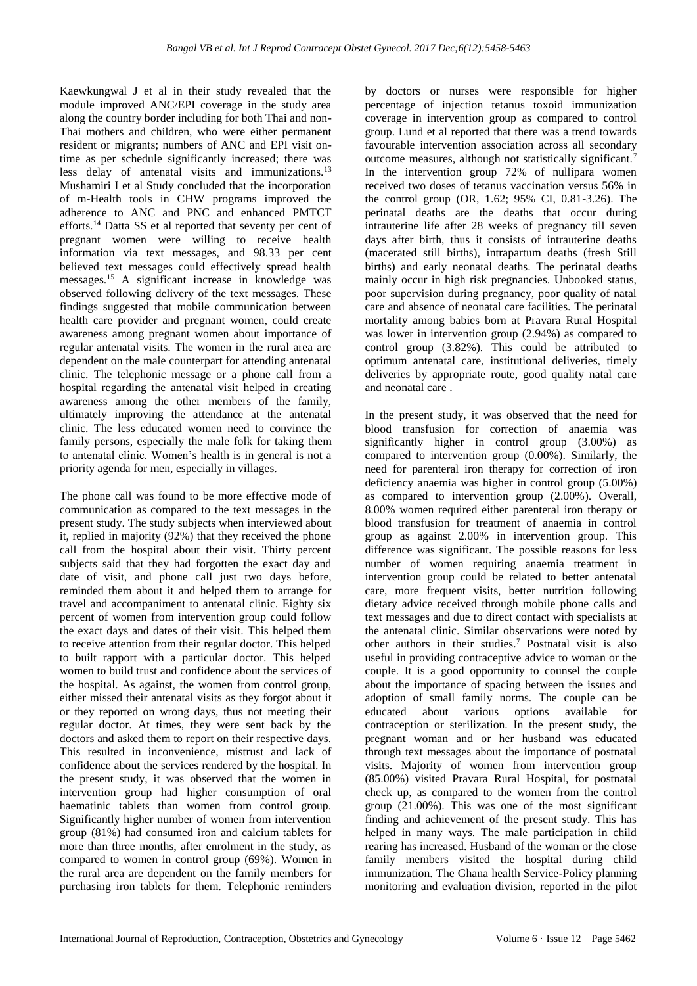Kaewkungwal J et al in their study revealed that the module improved ANC/EPI coverage in the study area along the country border including for both Thai and non-Thai mothers and children, who were either permanent resident or migrants; numbers of ANC and EPI visit ontime as per schedule significantly increased; there was less delay of antenatal visits and immunizations.<sup>13</sup> Mushamiri I et al Study concluded that the incorporation of m-Health tools in CHW programs improved the adherence to ANC and PNC and enhanced PMTCT efforts.<sup>14</sup> Datta SS et al reported that seventy per cent of pregnant women were willing to receive health information via text messages, and 98.33 per cent believed text messages could effectively spread health messages.<sup>15</sup> A significant increase in knowledge was observed following delivery of the text messages. These findings suggested that mobile communication between health care provider and pregnant women, could create awareness among pregnant women about importance of regular antenatal visits. The women in the rural area are dependent on the male counterpart for attending antenatal clinic. The telephonic message or a phone call from a hospital regarding the antenatal visit helped in creating awareness among the other members of the family, ultimately improving the attendance at the antenatal clinic. The less educated women need to convince the family persons, especially the male folk for taking them to antenatal clinic. Women's health is in general is not a priority agenda for men, especially in villages.

The phone call was found to be more effective mode of communication as compared to the text messages in the present study. The study subjects when interviewed about it, replied in majority (92%) that they received the phone call from the hospital about their visit. Thirty percent subjects said that they had forgotten the exact day and date of visit, and phone call just two days before, reminded them about it and helped them to arrange for travel and accompaniment to antenatal clinic. Eighty six percent of women from intervention group could follow the exact days and dates of their visit. This helped them to receive attention from their regular doctor. This helped to built rapport with a particular doctor. This helped women to build trust and confidence about the services of the hospital. As against, the women from control group, either missed their antenatal visits as they forgot about it or they reported on wrong days, thus not meeting their regular doctor. At times, they were sent back by the doctors and asked them to report on their respective days. This resulted in inconvenience, mistrust and lack of confidence about the services rendered by the hospital. In the present study, it was observed that the women in intervention group had higher consumption of oral haematinic tablets than women from control group. Significantly higher number of women from intervention group (81%) had consumed iron and calcium tablets for more than three months, after enrolment in the study, as compared to women in control group (69%). Women in the rural area are dependent on the family members for purchasing iron tablets for them. Telephonic reminders by doctors or nurses were responsible for higher percentage of injection tetanus toxoid immunization coverage in intervention group as compared to control group. Lund et al reported that there was a trend towards favourable intervention association across all secondary outcome measures, although not statistically significant.<sup>7</sup> In the intervention group 72% of nullipara women received two doses of tetanus vaccination versus 56% in the control group (OR, 1.62; 95% CI, 0.81-3.26). The perinatal deaths are the deaths that occur during intrauterine life after 28 weeks of pregnancy till seven days after birth, thus it consists of intrauterine deaths (macerated still births), intrapartum deaths (fresh Still births) and early neonatal deaths. The perinatal deaths mainly occur in high risk pregnancies. Unbooked status, poor supervision during pregnancy, poor quality of natal care and absence of neonatal care facilities. The perinatal mortality among babies born at Pravara Rural Hospital was lower in intervention group (2.94%) as compared to control group (3.82%). This could be attributed to optimum antenatal care, institutional deliveries, timely deliveries by appropriate route, good quality natal care and neonatal care .

In the present study, it was observed that the need for blood transfusion for correction of anaemia was significantly higher in control group (3.00%) as compared to intervention group (0.00%). Similarly, the need for parenteral iron therapy for correction of iron deficiency anaemia was higher in control group (5.00%) as compared to intervention group (2.00%). Overall, 8.00% women required either parenteral iron therapy or blood transfusion for treatment of anaemia in control group as against 2.00% in intervention group. This difference was significant. The possible reasons for less number of women requiring anaemia treatment in intervention group could be related to better antenatal care, more frequent visits, better nutrition following dietary advice received through mobile phone calls and text messages and due to direct contact with specialists at the antenatal clinic. Similar observations were noted by other authors in their studies.<sup>7</sup> Postnatal visit is also useful in providing contraceptive advice to woman or the couple. It is a good opportunity to counsel the couple about the importance of spacing between the issues and adoption of small family norms. The couple can be educated about various options available for contraception or sterilization. In the present study, the pregnant woman and or her husband was educated through text messages about the importance of postnatal visits. Majority of women from intervention group (85.00%) visited Pravara Rural Hospital, for postnatal check up, as compared to the women from the control group (21.00%). This was one of the most significant finding and achievement of the present study. This has helped in many ways. The male participation in child rearing has increased. Husband of the woman or the close family members visited the hospital during child immunization. The Ghana health Service-Policy planning monitoring and evaluation division, reported in the pilot